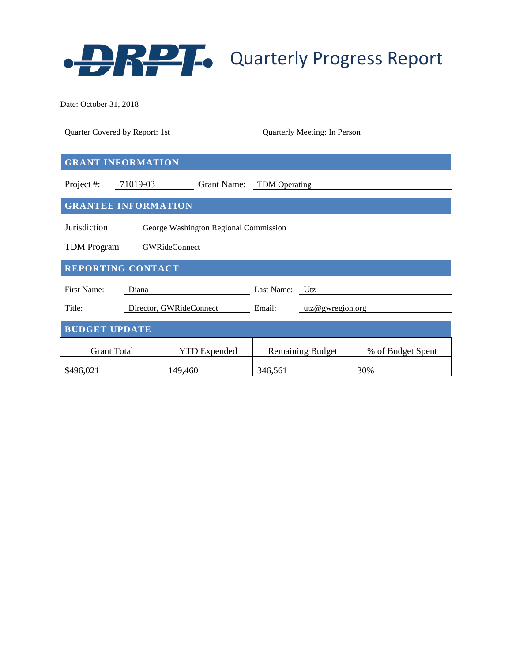

Date: October 31, 2018

| Quarter Covered by Report: 1st                        |          |                         | Quarterly Meeting: In Person |  |                   |  |  |  |  |
|-------------------------------------------------------|----------|-------------------------|------------------------------|--|-------------------|--|--|--|--|
| <b>GRANT INFORMATION</b>                              |          |                         |                              |  |                   |  |  |  |  |
|                                                       |          |                         |                              |  |                   |  |  |  |  |
| Project #:                                            | 71019-03 |                         | Grant Name: TDM Operating    |  |                   |  |  |  |  |
| <b>GRANTEE INFORMATION</b>                            |          |                         |                              |  |                   |  |  |  |  |
| Jurisdiction<br>George Washington Regional Commission |          |                         |                              |  |                   |  |  |  |  |
| <b>TDM</b> Program<br><b>GWRideConnect</b>            |          |                         |                              |  |                   |  |  |  |  |
| <b>REPORTING CONTACT</b>                              |          |                         |                              |  |                   |  |  |  |  |
| <b>First Name:</b>                                    | Diana    |                         | Last Name: Utz               |  |                   |  |  |  |  |
| Title:                                                |          | Director, GWRideConnect | Email:<br>utz@gwregion.org   |  |                   |  |  |  |  |
| <b>BUDGET UPDATE</b>                                  |          |                         |                              |  |                   |  |  |  |  |
| <b>Grant Total</b>                                    |          | <b>YTD</b> Expended     | <b>Remaining Budget</b>      |  | % of Budget Spent |  |  |  |  |
| \$496,021                                             |          | 149,460                 | 346,561                      |  | 30%               |  |  |  |  |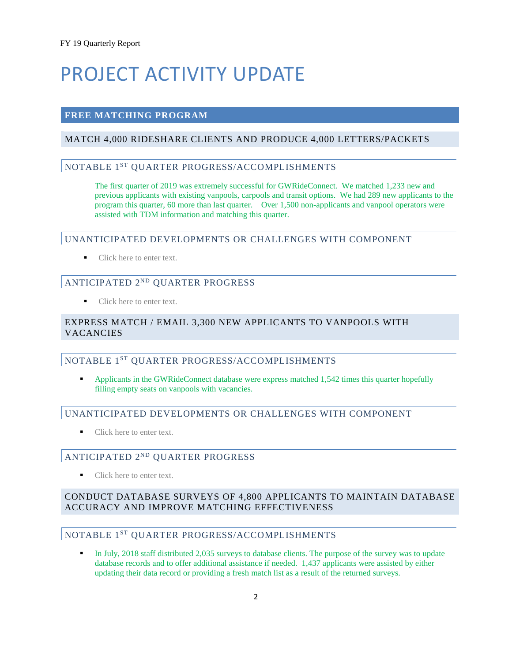# PROJECT ACTIVITY UPDATE

#### **FREE MATCHING PROGRAM**

#### MATCH 4,000 RIDESHARE CLIENTS AND PRODUCE 4,000 LETTERS/PACKETS

# NOTABLE 1ST QUARTER PROGRESS/ACCOMPLISHMENTS

The first quarter of 2019 was extremely successful for GWRideConnect. We matched 1,233 new and previous applicants with existing vanpools, carpools and transit options. We had 289 new applicants to the program this quarter, 60 more than last quarter. Over 1,500 non-applicants and vanpool operators were assisted with TDM information and matching this quarter.

#### UNANTICIPATED DEVELOPMENTS OR CHALLENGES WITH COMPONENT

■ Click here to enter text.

# ANTICIPATED 2ND QUARTER PROGRESS

• Click here to enter text.

#### EXPRESS MATCH / EMAIL 3,300 NEW APPLICANTS TO VANPOOLS WITH VACANCIES

#### NOTABLE 1<sup>ST</sup> OUARTER PROGRESS/ACCOMPLISHMENTS

 Applicants in the GWRideConnect database were express matched 1,542 times this quarter hopefully filling empty seats on vanpools with vacancies.

#### UNANTICIPATED DEVELOPMENTS OR CHALLENGES WITH COMPONENT

■ Click here to enter text.

## ANTICIPATED 2ND QUARTER PROGRESS

Click here to enter text.

#### CONDUCT DATABASE SURVEYS OF 4,800 APPLICANTS TO MAINTAIN DATABASE ACCURACY AND IMPROVE MATCHING EFFECTIVENESS

# NOTABLE 1ST QUARTER PROGRESS/ACCOMPLISHMENTS

 In July, 2018 staff distributed 2,035 surveys to database clients. The purpose of the survey was to update database records and to offer additional assistance if needed. 1,437 applicants were assisted by either updating their data record or providing a fresh match list as a result of the returned surveys.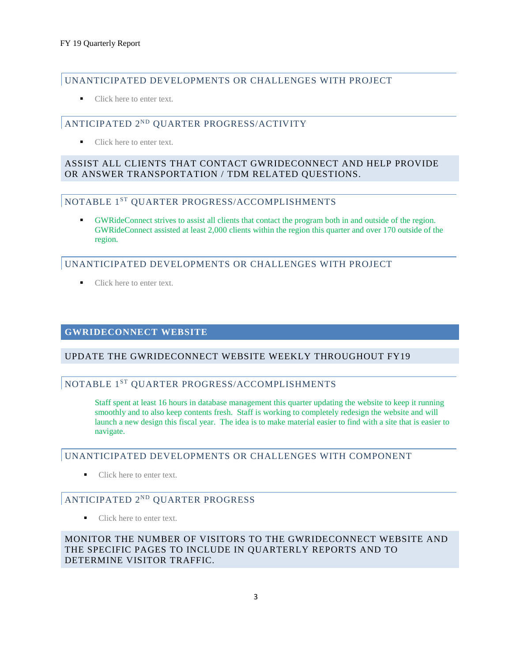### UNANTICIPATED DEVELOPMENTS OR CHALLENGES WITH PROJECT

■ Click here to enter text.

## ANTICIPATED 2ND QUARTER PROGRESS/ACTIVITY

■ Click here to enter text.

#### ASSIST ALL CLIENTS THAT CONTACT GWRIDECONNECT AND HELP PROVIDE OR ANSWER TRANSPORTATION / TDM RELATED QUESTIONS.

#### NOTABLE 1ST QUARTER PROGRESS/ACCOMPLISHMENTS

 GWRideConnect strives to assist all clients that contact the program both in and outside of the region. GWRideConnect assisted at least 2,000 clients within the region this quarter and over 170 outside of the region.

## UNANTICIPATED DEVELOPMENTS OR CHALLENGES WITH PROJECT

• Click here to enter text.

#### **GWRIDECONNECT WEBSITE**

#### UPDATE THE GWRIDECONNECT WEBSITE WEEKLY THROUGHOUT FY19

# NOTABLE 1ST QUARTER PROGRESS/ACCOMPLISHMENTS

Staff spent at least 16 hours in database management this quarter updating the website to keep it running smoothly and to also keep contents fresh. Staff is working to completely redesign the website and will launch a new design this fiscal year. The idea is to make material easier to find with a site that is easier to navigate.

#### UNANTICIPATED DEVELOPMENTS OR CHALLENGES WITH COMPONENT

■ Click here to enter text.

## ANTICIPATED 2ND QUARTER PROGRESS

■ Click here to enter text.

MONITOR THE NUMBER OF VISITORS TO THE GWRIDECONNECT WEBSITE AND THE SPECIFIC PAGES TO INCLUDE IN QUARTERLY REPORTS AND TO DETERMINE VISITOR TRAFFIC.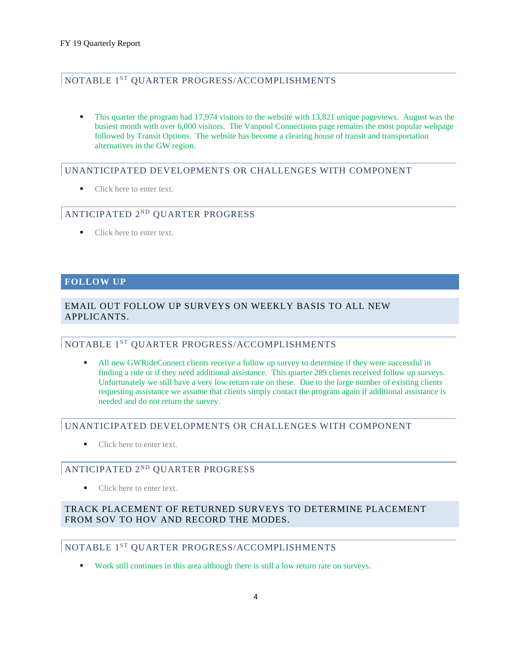#### NOTABLE 1ST QUARTER PROGRESS/ACCOMPLISHMENTS

 This quarter the program had 17,974 visitors to the website with 13,821 unique pageviews. August was the busiest month with over 6,000 visitors. The Vanpool Connections page remains the most popular webpage followed by Transit Options. The website has become a clearing house of transit and transportation alternatives in the GW region.

#### UNANTICIPATED DEVELOPMENTS OR CHALLENGES WITH COMPONENT

Click here to enter text.

#### ANTICIPATED 2ND QUARTER PROGRESS

Click here to enter text.

#### **FOLLOW UP**

#### EMAIL OUT FOLLOW UP SURVEYS ON WEEKLY BASIS TO ALL NEW APPLICANTS.

#### NOTABLE 1ST QUARTER PROGRESS/ACCOMPLISHMENTS

 All new GWRideConnect clients receive a follow up survey to determine if they were successful in finding a ride or if they need additional assistance. This quarter 289 clients received follow up surveys. Unfortunately we still have a very low return rate on these. Due to the large number of existing clients requesting assistance we assume that clients simply contact the program again if additional assistance is needed and do not return the survey.

#### UNANTICIPATED DEVELOPMENTS OR CHALLENGES WITH COMPONENT

Click here to enter text.

#### ANTICIPATED 2ND QUARTER PROGRESS

Click here to enter text.

#### TRACK PLACEMENT OF RETURNED SURVEYS TO DETERMINE PLACEMENT FROM SOV TO HOV AND RECORD THE MODES.

#### NOTABLE 1ST QUARTER PROGRESS/ACCOMPLISHMENTS

Work still continues in this area although there is still a low return rate on surveys.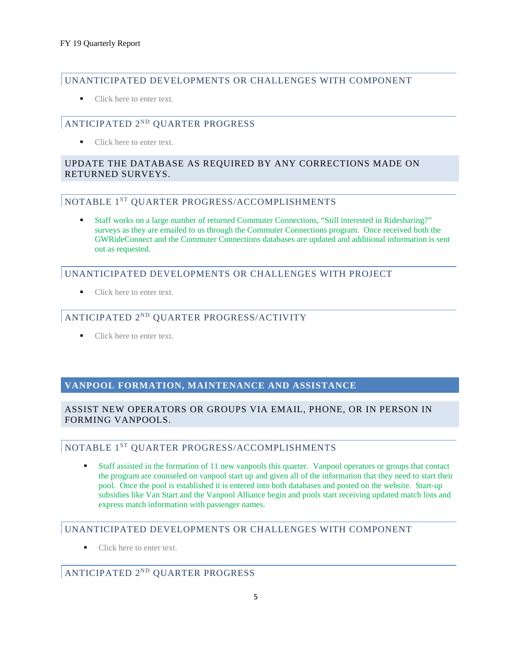#### UNANTICIPATED DEVELOPMENTS OR CHALLENGES WITH COMPONENT

Click here to enter text.

# ANTICIPATED 2ND QUARTER PROGRESS

Click here to enter text.

#### UPDATE THE DATABASE AS REQUIRED BY ANY CORRECTIONS MADE ON RETURNED SURVEYS.

# NOTABLE 1ST QUARTER PROGRESS/ACCOMPLISHMENTS

 Staff works on a large number of returned Commuter Connections, "Still interested in Ridesharing?" surveys as they are emailed to us through the Commuter Connections program. Once received both the GWRideConnect and the Commuter Connections databases are updated and additional information is sent out as requested.

#### UNANTICIPATED DEVELOPMENTS OR CHALLENGES WITH PROJECT

Click here to enter text.

# ANTICIPATED 2ND QUARTER PROGRESS/ACTIVITY

Click here to enter text.

#### **VANPOOL FORMATION, MAINTENANCE AND ASSISTANCE**

#### ASSIST NEW OPERATORS OR GROUPS VIA EMAIL, PHONE, OR IN PERSON IN FORMING VANPOOLS.

# NOTABLE 1ST QUARTER PROGRESS/ACCOMPLISHMENTS

 Staff assisted in the formation of 11 new vanpools this quarter. Vanpool operators or groups that contact the program are counseled on vanpool start up and given all of the information that they need to start their pool. Once the pool is established it is entered into both databases and posted on the website. Start-up subsidies like Van Start and the Vanpool Alliance begin and pools start receiving updated match lists and express match information with passenger names.

#### UNANTICIPATED DEVELOPMENTS OR CHALLENGES WITH COMPONENT

■ Click here to enter text.

# ANTICIPATED 2ND QUARTER PROGRESS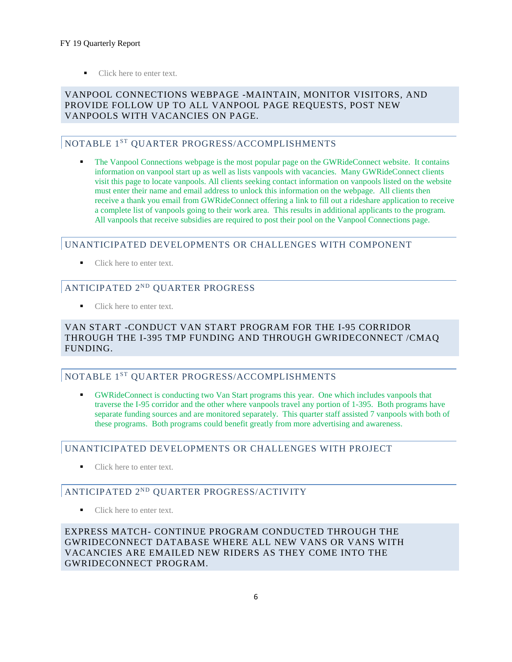Click here to enter text.

#### VANPOOL CONNECTIONS WEBPAGE -MAINTAIN, MONITOR VISITORS, AND PROVIDE FOLLOW UP TO ALL VANPOOL PAGE REQUESTS, POST NEW VANPOOLS WITH VACANCIES ON PAGE.

#### NOTABLE 1<sup>ST</sup> QUARTER PROGRESS/ACCOMPLISHMENTS

 The Vanpool Connections webpage is the most popular page on the GWRideConnect website. It contains information on vanpool start up as well as lists vanpools with vacancies. Many GWRideConnect clients visit this page to locate vanpools. All clients seeking contact information on vanpools listed on the website must enter their name and email address to unlock this information on the webpage. All clients then receive a thank you email from GWRideConnect offering a link to fill out a rideshare application to receive a complete list of vanpools going to their work area. This results in additional applicants to the program. All vanpools that receive subsidies are required to post their pool on the Vanpool Connections page.

#### UNANTICIPATED DEVELOPMENTS OR CHALLENGES WITH COMPONENT

■ Click here to enter text.

# ANTICIPATED 2ND QUARTER PROGRESS

■ Click here to enter text.

#### VAN START -CONDUCT VAN START PROGRAM FOR THE I-95 CORRIDOR THROUGH THE I-395 TMP FUNDING AND THROUGH GWRIDECONNECT /CMAQ FUNDING.

## NOTABLE 1ST QUARTER PROGRESS/ACCOMPLISHMENTS

 GWRideConnect is conducting two Van Start programs this year. One which includes vanpools that traverse the I-95 corridor and the other where vanpools travel any portion of 1-395. Both programs have separate funding sources and are monitored separately. This quarter staff assisted 7 vanpools with both of these programs. Both programs could benefit greatly from more advertising and awareness.

## UNANTICIPATED DEVELOPMENTS OR CHALLENGES WITH PROJECT

■ Click here to enter text.

# ANTICIPATED 2ND QUARTER PROGRESS/ACTIVITY

Click here to enter text.

EXPRESS MATCH- CONTINUE PROGRAM CONDUCTED THROUGH THE GWRIDECONNECT DATABASE WHERE ALL NEW VANS OR VANS WITH VACANCIES ARE EMAILED NEW RIDERS AS THEY COME INTO THE GWRIDECONNECT PROGRAM.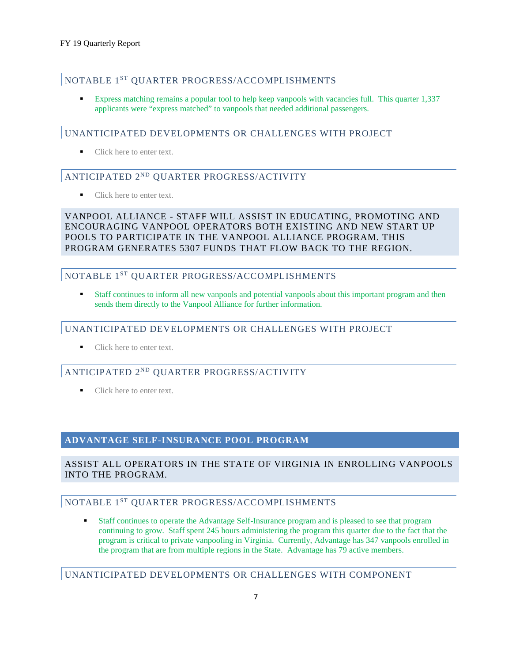# NOTABLE 1ST QUARTER PROGRESS/ACCOMPLISHMENTS

 Express matching remains a popular tool to help keep vanpools with vacancies full. This quarter 1,337 applicants were "express matched" to vanpools that needed additional passengers.

#### UNANTICIPATED DEVELOPMENTS OR CHALLENGES WITH PROJECT

Click here to enter text.

## ANTICIPATED 2ND QUARTER PROGRESS/ACTIVITY

• Click here to enter text.

VANPOOL ALLIANCE - STAFF WILL ASSIST IN EDUCATING, PROMOTING AND ENCOURAGING VANPOOL OPERATORS BOTH EXISTING AND NEW START UP POOLS TO PARTICIPATE IN THE VANPOOL ALLIANCE PROGRAM. THIS PROGRAM GENERATES 5307 FUNDS THAT FLOW BACK TO THE REGION.

# NOTABLE 1ST QUARTER PROGRESS/ACCOMPLISHMENTS

 Staff continues to inform all new vanpools and potential vanpools about this important program and then sends them directly to the Vanpool Alliance for further information.

#### UNANTICIPATED DEVELOPMENTS OR CHALLENGES WITH PROJECT

Click here to enter text.

# ANTICIPATED 2ND QUARTER PROGRESS/ACTIVITY

Click here to enter text.

#### **ADVANTAGE SELF-INSURANCE POOL PROGRAM**

#### ASSIST ALL OPERATORS IN THE STATE OF VIRGINIA IN ENROLLING VANPOOLS INTO THE PROGRAM.

# NOTABLE 1ST QUARTER PROGRESS/ACCOMPLISHMENTS

 Staff continues to operate the Advantage Self-Insurance program and is pleased to see that program continuing to grow. Staff spent 245 hours administering the program this quarter due to the fact that the program is critical to private vanpooling in Virginia. Currently, Advantage has 347 vanpools enrolled in the program that are from multiple regions in the State. Advantage has 79 active members.

#### UNANTICIPATED DEVELOPMENTS OR CHALLENGES WITH COMPONENT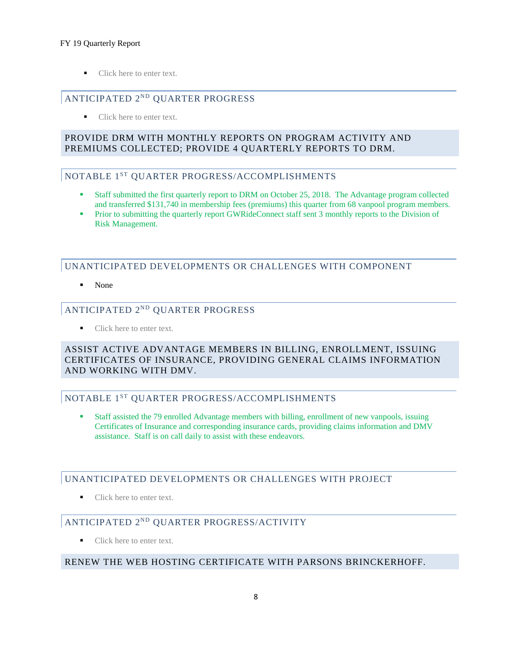#### FY 19 Quarterly Report

Click here to enter text.

# ANTICIPATED 2ND QUARTER PROGRESS

• Click here to enter text.

#### PROVIDE DRM WITH MONTHLY REPORTS ON PROGRAM ACTIVITY AND PREMIUMS COLLECTED; PROVIDE 4 QUARTERLY REPORTS TO DRM.

#### NOTABLE 1ST QUARTER PROGRESS/ACCOMPLISHMENTS

- Staff submitted the first quarterly report to DRM on October 25, 2018. The Advantage program collected and transferred \$131,740 in membership fees (premiums) this quarter from 68 vanpool program members.
- **Prior to submitting the quarterly report GWRideConnect staff sent 3 monthly reports to the Division of** Risk Management.

## UNANTICIPATED DEVELOPMENTS OR CHALLENGES WITH COMPONENT

None

#### ANTICIPATED 2ND QUARTER PROGRESS

• Click here to enter text.

#### ASSIST ACTIVE ADVANTAGE MEMBERS IN BILLING, ENROLLMENT, ISSUING CERTIFICATES OF INSURANCE, PROVIDING GENERAL CLAIMS INFORMATION AND WORKING WITH DMV.

## NOTABLE 1ST QUARTER PROGRESS/ACCOMPLISHMENTS

 Staff assisted the 79 enrolled Advantage members with billing, enrollment of new vanpools, issuing Certificates of Insurance and corresponding insurance cards, providing claims information and DMV assistance. Staff is on call daily to assist with these endeavors.

#### UNANTICIPATED DEVELOPMENTS OR CHALLENGES WITH PROJECT

Click here to enter text.

## ANTICIPATED 2ND QUARTER PROGRESS/ACTIVITY

Click here to enter text.

#### RENEW THE WEB HOSTING CERTIFICATE WITH PARSONS BRINCKERHOFF.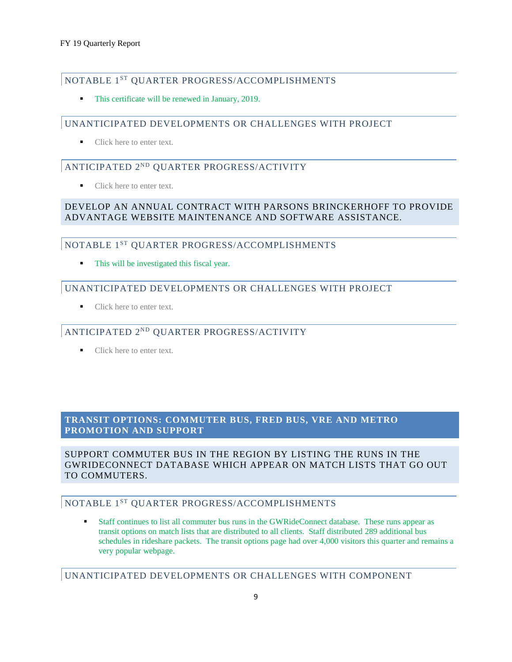#### NOTABLE 1ST QUARTER PROGRESS/ACCOMPLISHMENTS

This certificate will be renewed in January, 2019.

#### UNANTICIPATED DEVELOPMENTS OR CHALLENGES WITH PROJECT

Click here to enter text.

# ANTICIPATED 2ND QUARTER PROGRESS/ACTIVITY

Click here to enter text.

#### DEVELOP AN ANNUAL CONTRACT WITH PARSONS BRINCKERHOFF TO PROVIDE ADVANTAGE WEBSITE MAINTENANCE AND SOFTWARE ASSISTANCE.

#### NOTABLE 1<sup>ST</sup> QUARTER PROGRESS/ACCOMPLISHMENTS

This will be investigated this fiscal year.

#### UNANTICIPATED DEVELOPMENTS OR CHALLENGES WITH PROJECT

■ Click here to enter text.

#### ANTICIPATED 2ND QUARTER PROGRESS/ACTIVITY

■ Click here to enter text.

#### **TRANSIT OPTIONS: COMMUTER BUS, FRED BUS, VRE AND METRO PROMOTION AND SUPPORT**

SUPPORT COMMUTER BUS IN THE REGION BY LISTING THE RUNS IN THE GWRIDECONNECT DATABASE WHICH APPEAR ON MATCH LISTS THAT GO OUT TO COMMUTERS.

#### NOTABLE 1ST QUARTER PROGRESS/ACCOMPLISHMENTS

 Staff continues to list all commuter bus runs in the GWRideConnect database. These runs appear as transit options on match lists that are distributed to all clients. Staff distributed 289 additional bus schedules in rideshare packets. The transit options page had over 4,000 visitors this quarter and remains a very popular webpage.

UNANTICIPATED DEVELOPMENTS OR CHALLENGES WITH COMPONENT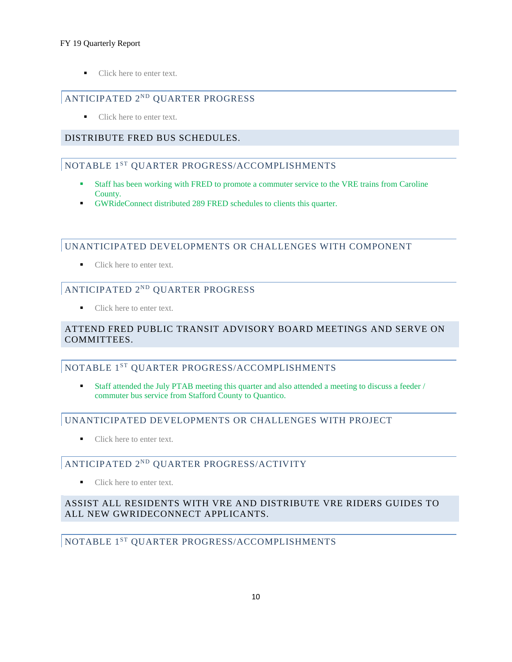#### FY 19 Quarterly Report

Click here to enter text.

# ANTICIPATED 2ND QUARTER PROGRESS

• Click here to enter text.

## DISTRIBUTE FRED BUS SCHEDULES.

# NOTABLE 1ST QUARTER PROGRESS/ACCOMPLISHMENTS

- Staff has been working with FRED to promote a commuter service to the VRE trains from Caroline County.
- GWRideConnect distributed 289 FRED schedules to clients this quarter.

#### UNANTICIPATED DEVELOPMENTS OR CHALLENGES WITH COMPONENT

■ Click here to enter text.

# ANTICIPATED 2ND QUARTER PROGRESS

Click here to enter text.

#### ATTEND FRED PUBLIC TRANSIT ADVISORY BOARD MEETINGS AND SERVE ON COMMITTEES.

## NOTABLE 1ST QUARTER PROGRESS/ACCOMPLISHMENTS

 Staff attended the July PTAB meeting this quarter and also attended a meeting to discuss a feeder / commuter bus service from Stafford County to Quantico.

## UNANTICIPATED DEVELOPMENTS OR CHALLENGES WITH PROJECT

• Click here to enter text.

## ANTICIPATED 2ND QUARTER PROGRESS/ACTIVITY

Click here to enter text.

## ASSIST ALL RESIDENTS WITH VRE AND DISTRIBUTE VRE RIDERS GUIDES TO ALL NEW GWRIDECONNECT APPLICANTS.

## NOTABLE 1ST QUARTER PROGRESS/ACCOMPLISHMENTS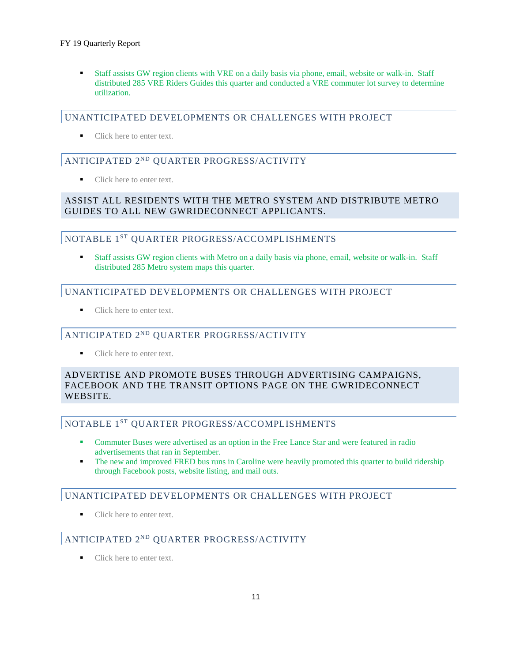#### FY 19 Quarterly Report

 Staff assists GW region clients with VRE on a daily basis via phone, email, website or walk-in. Staff distributed 285 VRE Riders Guides this quarter and conducted a VRE commuter lot survey to determine utilization.

#### UNANTICIPATED DEVELOPMENTS OR CHALLENGES WITH PROJECT

■ Click here to enter text.

# ANTICIPATED 2ND QUARTER PROGRESS/ACTIVITY

Click here to enter text.

## ASSIST ALL RESIDENTS WITH THE METRO SYSTEM AND DISTRIBUTE METRO GUIDES TO ALL NEW GWRIDECONNECT APPLICANTS.

#### NOTABLE 1ST QUARTER PROGRESS/ACCOMPLISHMENTS

 Staff assists GW region clients with Metro on a daily basis via phone, email, website or walk-in. Staff distributed 285 Metro system maps this quarter.

# UNANTICIPATED DEVELOPMENTS OR CHALLENGES WITH PROJECT

• Click here to enter text.

## ANTICIPATED 2ND QUARTER PROGRESS/ACTIVITY

Click here to enter text.

#### ADVERTISE AND PROMOTE BUSES THROUGH ADVERTISING CAMPAIGNS, FACEBOOK AND THE TRANSIT OPTIONS PAGE ON THE GWRIDECONNECT WEBSITE.

## NOTABLE 1ST QUARTER PROGRESS/ACCOMPLISHMENTS

- Commuter Buses were advertised as an option in the Free Lance Star and were featured in radio advertisements that ran in September.
- The new and improved FRED bus runs in Caroline were heavily promoted this quarter to build ridership through Facebook posts, website listing, and mail outs.

## UNANTICIPATED DEVELOPMENTS OR CHALLENGES WITH PROJECT

Click here to enter text.

# ANTICIPATED 2ND QUARTER PROGRESS/ACTIVITY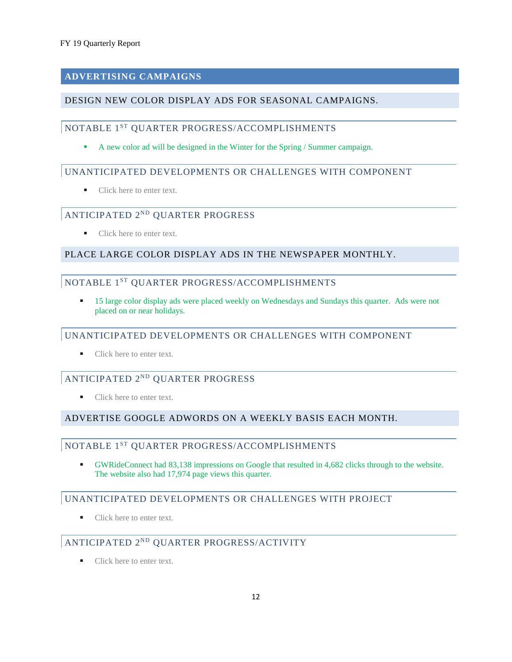# **ADVERTISING CAMPAIGNS**

#### DESIGN NEW COLOR DISPLAY ADS FOR SEASONAL CAMPAIGNS.

# NOTABLE 1ST QUARTER PROGRESS/ACCOMPLISHMENTS

A new color ad will be designed in the Winter for the Spring / Summer campaign.

#### UNANTICIPATED DEVELOPMENTS OR CHALLENGES WITH COMPONENT

• Click here to enter text.

#### ANTICIPATED 2ND QUARTER PROGRESS

Click here to enter text.

#### PLACE LARGE COLOR DISPLAY ADS IN THE NEWSPAPER MONTHLY.

#### NOTABLE 1<sup>ST</sup> QUARTER PROGRESS/ACCOMPLISHMENTS

 15 large color display ads were placed weekly on Wednesdays and Sundays this quarter. Ads were not placed on or near holidays.

#### UNANTICIPATED DEVELOPMENTS OR CHALLENGES WITH COMPONENT

Click here to enter text.

# ANTICIPATED 2ND QUARTER PROGRESS

■ Click here to enter text.

## ADVERTISE GOOGLE ADWORDS ON A WEEKLY BASIS EACH MONTH.

#### NOTABLE 1ST QUARTER PROGRESS/ACCOMPLISHMENTS

 GWRideConnect had 83,138 impressions on Google that resulted in 4,682 clicks through to the website. The website also had 17,974 page views this quarter.

#### UNANTICIPATED DEVELOPMENTS OR CHALLENGES WITH PROJECT

■ Click here to enter text.

# ANTICIPATED 2ND QUARTER PROGRESS/ACTIVITY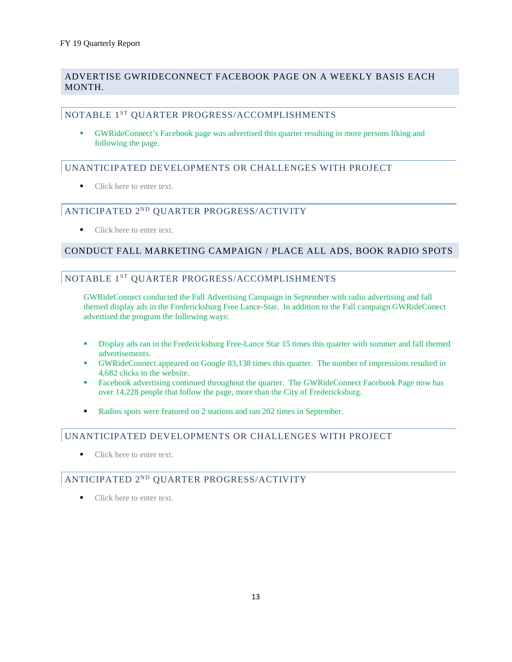#### ADVERTISE GWRIDECONNECT FACEBOOK PAGE ON A WEEKLY BASIS EACH MONTH.

#### NOTABLE 1ST QUARTER PROGRESS/ACCOMPLISHMENTS

 GWRideConnect's Facebook page was advertised this quarter resulting in more persons liking and following the page.

#### UNANTICIPATED DEVELOPMENTS OR CHALLENGES WITH PROJECT

Click here to enter text.

#### ANTICIPATED 2ND QUARTER PROGRESS/ACTIVITY

Click here to enter text.

#### CONDUCT FALL MARKETING CAMPAIGN / PLACE ALL ADS, BOOK RADIO SPOTS

#### NOTABLE 1ST QUARTER PROGRESS/ACCOMPLISHMENTS

GWRideConnect conducted the Fall Advertising Campaign in September with radio advertising and fall themed display ads in the Fredericksburg Free Lance-Star. In addition to the Fall campaign GWRideConect advertised the program the following ways:

- Display ads ran in the Fredericksburg Free-Lance Star 15 times this quarter with summer and fall themed advertisements.
- GWRideConnect appeared on Google 83,138 times this quarter. The number of impressions resulted in 4,682 clicks to the website.
- Facebook advertising continued throughout the quarter. The GWRideConnect Facebook Page now has over 14,228 people that follow the page, more than the City of Fredericksburg.
- Radios spots were featured on 2 stations and ran 202 times in September.

#### UNANTICIPATED DEVELOPMENTS OR CHALLENGES WITH PROJECT

Click here to enter text.

#### ANTICIPATED 2ND QUARTER PROGRESS/ACTIVITY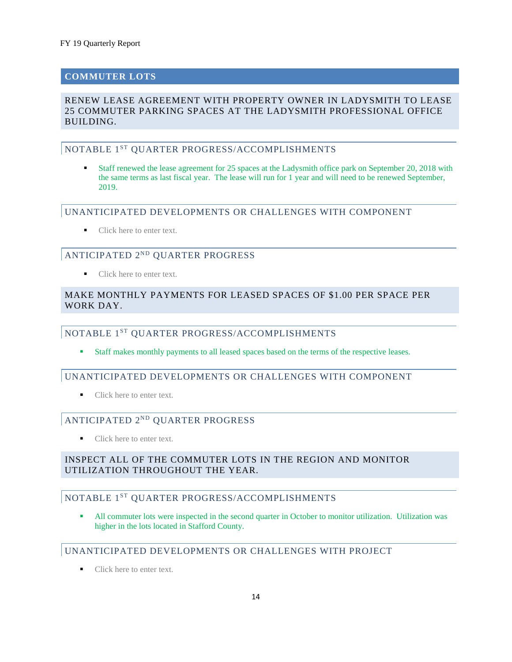# **COMMUTER LOTS**

#### RENEW LEASE AGREEMENT WITH PROPERTY OWNER IN LADYSMITH TO LEASE 25 COMMUTER PARKING SPACES AT THE LADYSMITH PROFESSIONAL OFFICE BUILDING.

#### NOTABLE 1<sup>ST</sup> OUARTER PROGRESS/ACCOMPLISHMENTS

 Staff renewed the lease agreement for 25 spaces at the Ladysmith office park on September 20, 2018 with the same terms as last fiscal year. The lease will run for 1 year and will need to be renewed September, 2019.

#### UNANTICIPATED DEVELOPMENTS OR CHALLENGES WITH COMPONENT

■ Click here to enter text.

## ANTICIPATED 2ND QUARTER PROGRESS

Click here to enter text.

#### MAKE MONTHLY PAYMENTS FOR LEASED SPACES OF \$1.00 PER SPACE PER WORK DAY

#### NOTABLE 1ST QUARTER PROGRESS/ACCOMPLISHMENTS

Staff makes monthly payments to all leased spaces based on the terms of the respective leases.

#### UNANTICIPATED DEVELOPMENTS OR CHALLENGES WITH COMPONENT

Click here to enter text.

# ANTICIPATED 2ND QUARTER PROGRESS

■ Click here to enter text.

#### INSPECT ALL OF THE COMMUTER LOTS IN THE REGION AND MONITOR UTILIZATION THROUGHOUT THE YEAR.

#### NOTABLE 1<sup>ST</sup> OUARTER PROGRESS/ACCOMPLISHMENTS

 All commuter lots were inspected in the second quarter in October to monitor utilization. Utilization was higher in the lots located in Stafford County.

#### UNANTICIPATED DEVELOPMENTS OR CHALLENGES WITH PROJECT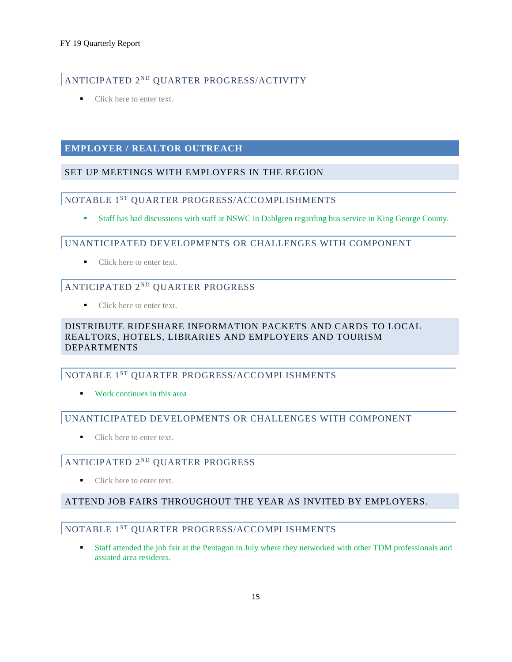# ANTICIPATED 2ND QUARTER PROGRESS/ACTIVITY

• Click here to enter text.

#### **EMPLOYER / REALTOR OUTREACH**

#### SET UP MEETINGS WITH EMPLOYERS IN THE REGION

#### NOTABLE 1ST QUARTER PROGRESS/ACCOMPLISHMENTS

Staff has had discussions with staff at NSWC in Dahlgren regarding bus service in King George County.

#### UNANTICIPATED DEVELOPMENTS OR CHALLENGES WITH COMPONENT

Click here to enter text.

# ANTICIPATED 2ND QUARTER PROGRESS

■ Click here to enter text.

#### DISTRIBUTE RIDESHARE INFORMATION PACKETS AND CARDS TO LOCAL REALTORS, HOTELS, LIBRARIES AND EMPLOYERS AND TOURISM DEPARTMENTS

## NOTABLE 1ST QUARTER PROGRESS/ACCOMPLISHMENTS

**Work continues in this area** 

#### UNANTICIPATED DEVELOPMENTS OR CHALLENGES WITH COMPONENT

Click here to enter text.

# ANTICIPATED 2ND QUARTER PROGRESS

■ Click here to enter text.

#### ATTEND JOB FAIRS THROUGHOUT THE YEAR AS INVITED BY EMPLOYERS.

# NOTABLE 1ST QUARTER PROGRESS/ACCOMPLISHMENTS

 Staff attended the job fair at the Pentagon in July where they networked with other TDM professionals and assisted area residents.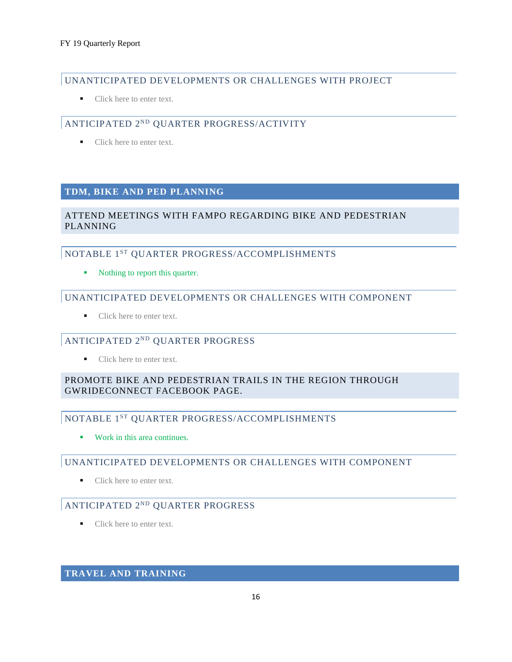# UNANTICIPATED DEVELOPMENTS OR CHALLENGES WITH PROJECT

• Click here to enter text.

# ANTICIPATED 2ND QUARTER PROGRESS/ACTIVITY

■ Click here to enter text.

#### **TDM, BIKE AND PED PLANNING**

#### ATTEND MEETINGS WITH FAMPO REGARDING BIKE AND PEDESTRIAN PLANNING

#### NOTABLE 1ST QUARTER PROGRESS/ACCOMPLISHMENTS

• Nothing to report this quarter.

#### UNANTICIPATED DEVELOPMENTS OR CHALLENGES WITH COMPONENT

Click here to enter text.

# ANTICIPATED 2ND QUARTER PROGRESS

Click here to enter text.

## PROMOTE BIKE AND PEDESTRIAN TRAILS IN THE REGION THROUGH GWRIDECONNECT FACEBOOK PAGE.

## NOTABLE 1ST QUARTER PROGRESS/ACCOMPLISHMENTS

**Work in this area continues.** 

## UNANTICIPATED DEVELOPMENTS OR CHALLENGES WITH COMPONENT

■ Click here to enter text.

# ANTICIPATED 2ND QUARTER PROGRESS

■ Click here to enter text.

#### **TRAVEL AND TRAINING**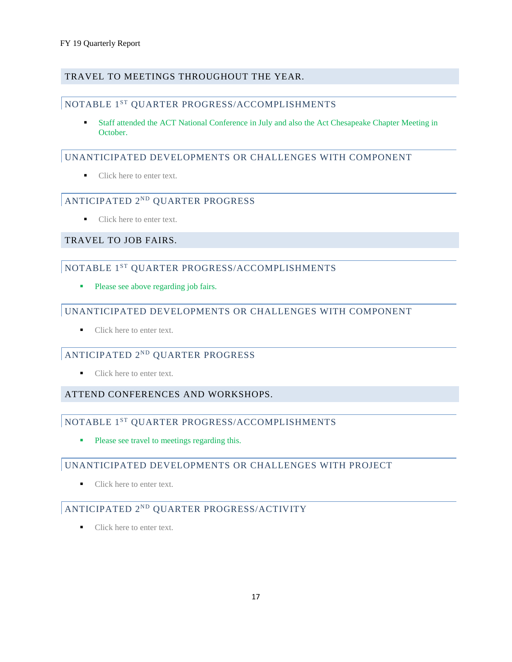#### TRAVEL TO MEETINGS THROUGHOUT THE YEAR.

#### NOTABLE 1ST QUARTER PROGRESS/ACCOMPLISHMENTS

 Staff attended the ACT National Conference in July and also the Act Chesapeake Chapter Meeting in October.

#### UNANTICIPATED DEVELOPMENTS OR CHALLENGES WITH COMPONENT

• Click here to enter text.

# ANTICIPATED 2ND QUARTER PROGRESS

Click here to enter text.

#### TRAVEL TO JOB FAIRS.

# NOTABLE 1ST QUARTER PROGRESS/ACCOMPLISHMENTS

**Please see above regarding job fairs.** 

#### UNANTICIPATED DEVELOPMENTS OR CHALLENGES WITH COMPONENT

Click here to enter text.

#### ANTICIPATED 2ND QUARTER PROGRESS

Click here to enter text.

#### ATTEND CONFERENCES AND WORKSHOPS.

#### NOTABLE 1<sup>ST</sup> QUARTER PROGRESS/ACCOMPLISHMENTS

• Please see travel to meetings regarding this.

#### UNANTICIPATED DEVELOPMENTS OR CHALLENGES WITH PROJECT

Click here to enter text.

## ANTICIPATED 2ND QUARTER PROGRESS/ACTIVITY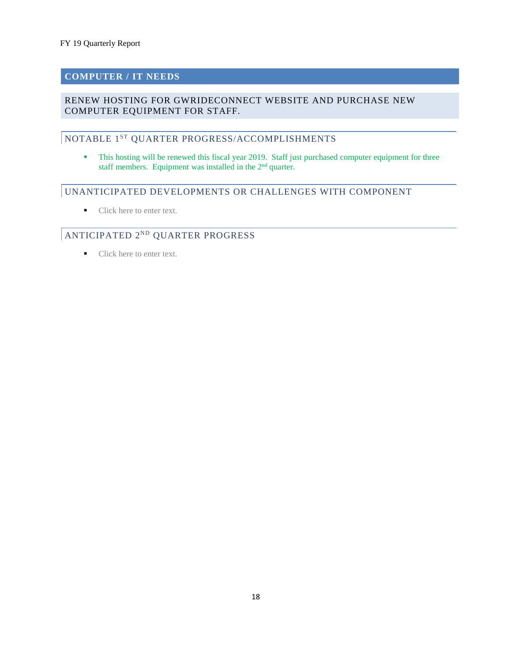#### **COMPUTER / IT NEEDS**

#### RENEW HOSTING FOR GWRIDECONNECT WEBSITE AND PURCHASE NEW COMPUTER EQUIPMENT FOR STAFF.

# NOTABLE 1ST QUARTER PROGRESS/ACCOMPLISHMENTS

This hosting will be renewed this fiscal year 2019. Staff just purchased computer equipment for three staff members. Equipment was installed in the 2<sup>nd</sup> quarter.

#### UNANTICIPATED DEVELOPMENTS OR CHALLENGES WITH COMPONENT

Click here to enter text.

# ANTICIPATED 2ND QUARTER PROGRESS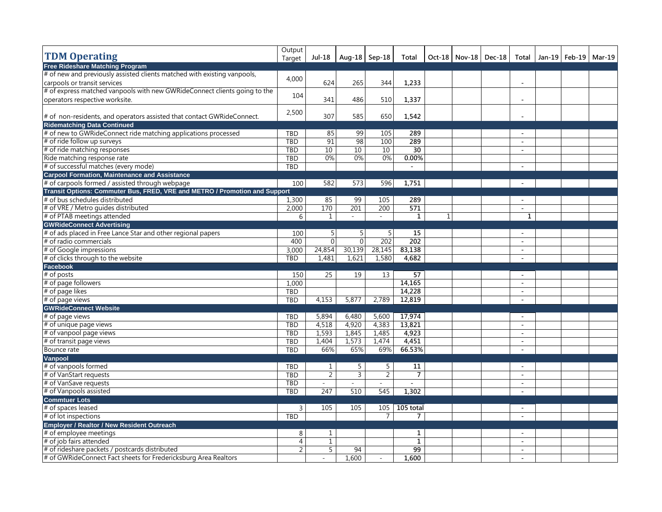|                                                                            | Output         |                |                             |                |                 |          |                          |                |                                  |  |
|----------------------------------------------------------------------------|----------------|----------------|-----------------------------|----------------|-----------------|----------|--------------------------|----------------|----------------------------------|--|
| <b>TDM Operating</b>                                                       | Target         | Jul-18         | Aug-18   Sep-18             |                | Total           |          | Oct-18   Nov-18   Dec-18 |                | Total   Jan-19   Feb-19   Mar-19 |  |
| <b>Free Rideshare Matching Program</b>                                     |                |                |                             |                |                 |          |                          |                |                                  |  |
| # of new and previously assisted clients matched with existing vanpools,   | 4,000          |                |                             |                |                 |          |                          |                |                                  |  |
| carpools or transit services                                               |                | 624            | 265                         | 344            | 1,233           |          |                          | $\sim$         |                                  |  |
| # of express matched vanpools with new GWRideConnect clients going to the  | 104            |                |                             |                |                 |          |                          |                |                                  |  |
| operators respective worksite.                                             |                | 341            | 486                         | 510            | 1,337           |          |                          | $\sim$         |                                  |  |
|                                                                            |                |                |                             |                |                 |          |                          |                |                                  |  |
| # of non-residents, and operators assisted that contact GWRideConnect.     | 2,500          | 307            | 585                         | 650            | 1,542           |          |                          | ÷,             |                                  |  |
| <b>Ridematching Data Continued</b>                                         |                |                |                             |                |                 |          |                          |                |                                  |  |
| # of new to GWRideConnect ride matching applications processed             | <b>TBD</b>     | 85             | 99                          | 105            | 289             |          |                          | $\sim$         |                                  |  |
| # of ride follow up surveys                                                | TBD            | 91             | 98                          | 100            | 289             |          |                          | $\sim$         |                                  |  |
| # of ride matching responses                                               | TBD            | 10             | 10                          | 10             | 30              |          |                          | $\sim$         |                                  |  |
| Ride matching response rate                                                | TBD            | 0%             | $0\%$                       | $0\%$          | 0.00%           |          |                          |                |                                  |  |
| # of successful matches (every mode)                                       | <b>TBD</b>     |                |                             |                | $\sim$          |          |                          | $\sim$         |                                  |  |
| <b>Carpool Formation, Maintenance and Assistance</b>                       |                |                |                             |                |                 |          |                          |                |                                  |  |
| # of carpools formed / assisted through webpage                            | 100            | 582            | 573                         | 596            | 1,751           |          |                          | $\sim$         |                                  |  |
| Transit Options: Commuter Bus, FRED, VRE and METRO / Promotion and Support |                |                |                             |                |                 |          |                          |                |                                  |  |
| # of bus schedules distributed                                             | 1,300          | 85             | 99                          | 105            | 289             |          |                          | $\sim$         |                                  |  |
| # of VRE / Metro guides distributed                                        | 2,000          | 170            | 201                         | 200            | 571             |          |                          | $\sim$         |                                  |  |
| # of PTAB meetings attended                                                | 6              | $\mathbf{1}$   | $\mathcal{L}^{\mathcal{L}}$ | $\sim$         | $\mathbf{1}$    | $1\vert$ |                          | $\mathbf{1}$   |                                  |  |
| <b>GWRideConnect Advertising</b>                                           |                |                |                             |                |                 |          |                          |                |                                  |  |
| # of ads placed in Free Lance Star and other regional papers               | 100            | 5              | 5 <sup>1</sup>              | 5              | 15              |          |                          | $\sim$         |                                  |  |
| # of radio commercials                                                     | 400            | $\overline{0}$ | $\overline{0}$              | 202            | 202             |          |                          | $\overline{a}$ |                                  |  |
| # of Google impressions                                                    | 3,000          | 24,854         | 30,139                      | 28,145         | 83,138          |          |                          | $\sim$         |                                  |  |
| # of clicks through to the website                                         | TBD            | 1,481          | 1,621                       | 1,580          | 4,682           |          |                          | $\overline{a}$ |                                  |  |
| Facebook                                                                   |                |                |                             |                |                 |          |                          |                |                                  |  |
| # of posts                                                                 | 150            | 25             | 19                          | 13             | $\overline{57}$ |          |                          | $\sim$         |                                  |  |
| # of page followers                                                        | 1.000          |                |                             |                | 14,165          |          |                          | $\sim$         |                                  |  |
| # of page likes                                                            | TBD            |                |                             |                | 14,228          |          |                          | $\sim$         |                                  |  |
| # of page views                                                            | <b>TBD</b>     | 4,153          | 5,877                       | 2,789          | 12,819          |          |                          | $\blacksquare$ |                                  |  |
| <b>GWRideConnect Website</b>                                               |                |                |                             |                |                 |          |                          |                |                                  |  |
| # of page views                                                            | TBD            | 5,894          | 6,480                       | 5,600          | 17,974          |          |                          | $\omega$       |                                  |  |
| # of unique page views                                                     | TBD            | 4,518          | 4,920                       | 4,383          | 13,821          |          |                          | $\sim$         |                                  |  |
| # of vanpool page views                                                    | TBD            | 1,593          | 1,845                       | 1,485          | 4,923           |          |                          | $\sim$         |                                  |  |
| # of transit page views                                                    | TBD            | 1,404          | 1,573                       | 1.474          | 4,451           |          |                          | $\sim$         |                                  |  |
| Bounce rate                                                                | <b>TBD</b>     | 66%            | 65%                         | 69%            | 66.53%          |          |                          | $\sim$         |                                  |  |
| Vanpool                                                                    |                |                |                             |                |                 |          |                          |                |                                  |  |
| # of vanpools formed                                                       | <b>TBD</b>     | $\mathbf{1}$   | 5                           | 5              | 11              |          |                          | $\sim$         |                                  |  |
| # of VanStart requests                                                     | TBD            | $\overline{2}$ | $\overline{3}$              | $\overline{2}$ | $\overline{7}$  |          |                          | $\blacksquare$ |                                  |  |
| # of VanSave requests                                                      | <b>TBD</b>     | $\bar{a}$      | L.                          |                |                 |          |                          | $\omega$       |                                  |  |
| # of Vanpools assisted                                                     | <b>TBD</b>     | 247            | 510                         | 545            | 1,302           |          |                          | $\sim$         |                                  |  |
| <b>Commtuer Lots</b>                                                       |                |                |                             |                |                 |          |                          |                |                                  |  |
| # of spaces leased                                                         | 3              | 105            | 105                         | 105            | 105 total       |          |                          | $\sim$         |                                  |  |
| # of lot inspections                                                       |                |                |                             | $\overline{7}$ | $\overline{7}$  |          |                          |                |                                  |  |
|                                                                            | TBD            |                |                             |                |                 |          |                          | $\sim$         |                                  |  |
| Employer / Realtor / New Resident Outreach                                 |                |                |                             |                |                 |          |                          |                |                                  |  |
| # of employee meetings                                                     | 8              | 1              |                             |                | 1               |          |                          | $\sim$         |                                  |  |
| # of job fairs attended                                                    | $\overline{4}$ | $\mathbf{1}$   |                             |                | $\mathbf{1}$    |          |                          | $\sim$         |                                  |  |
| # of rideshare packets / postcards distributed                             | $\overline{2}$ | 5              | 94                          |                | 99              |          |                          | $\omega$       |                                  |  |
| # of GWRideConnect Fact sheets for Fredericksburg Area Realtors            |                |                | 1,600                       |                | 1,600           |          |                          | $\sim$         |                                  |  |